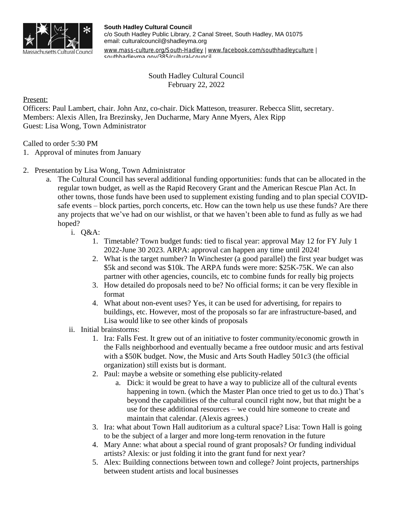

**South Hadley Cultural Council** c/o South Hadley Public Library, 2 Canal Street, South Hadley, MA 01075 email: culturalcouncil@shadleyma.org

[www.mass-culture.org/South-Hadley](http://www.mass-culture.org/South-Hadley) | [www.facebook.com/southhadleyculture](https://www.facebook.com/southhadleyculture) | southhadleyma.gov/385/cultural-council

> South Hadley Cultural Council February 22, 2022

Present:

Officers: Paul Lambert, chair. John Anz, co-chair. Dick Matteson, treasurer. Rebecca Slitt, secretary. Members: Alexis Allen, Ira Brezinsky, Jen Ducharme, Mary Anne Myers, Alex Ripp Guest: Lisa Wong, Town Administrator

Called to order 5:30 PM

- 1. Approval of minutes from January
- 2. Presentation by Lisa Wong, Town Administrator
	- a. The Cultural Council has several additional funding opportunities: funds that can be allocated in the regular town budget, as well as the Rapid Recovery Grant and the American Rescue Plan Act. In other towns, those funds have been used to supplement existing funding and to plan special COVIDsafe events – block parties, porch concerts, etc. How can the town help us use these funds? Are there any projects that we've had on our wishlist, or that we haven't been able to fund as fully as we had hoped?
		- i. Q&A:
			- 1. Timetable? Town budget funds: tied to fiscal year: approval May 12 for FY July 1 2022-June 30 2023. ARPA: approval can happen any time until 2024!
			- 2. What is the target number? In Winchester (a good parallel) the first year budget was \$5k and second was \$10k. The ARPA funds were more: \$25K-75K. We can also partner with other agencies, councils, etc to combine funds for really big projects
			- 3. How detailed do proposals need to be? No official forms; it can be very flexible in format
			- 4. What about non-event uses? Yes, it can be used for advertising, for repairs to buildings, etc. However, most of the proposals so far are infrastructure-based, and Lisa would like to see other kinds of proposals
		- ii. Initial brainstorms:
			- 1. Ira: Falls Fest. It grew out of an initiative to foster community/economic growth in the Falls neighborhood and eventually became a free outdoor music and arts festival with a \$50K budget. Now, the Music and Arts South Hadley 501c3 (the official organization) still exists but is dormant.
			- 2. Paul: maybe a website or something else publicity-related
				- a. Dick: it would be great to have a way to publicize all of the cultural events happening in town. (which the Master Plan once tried to get us to do.) That's beyond the capabilities of the cultural council right now, but that might be a use for these additional resources – we could hire someone to create and maintain that calendar. (Alexis agrees.)
			- 3. Ira: what about Town Hall auditorium as a cultural space? Lisa: Town Hall is going to be the subject of a larger and more long-term renovation in the future
			- 4. Mary Anne: what about a special round of grant proposals? Or funding individual artists? Alexis: or just folding it into the grant fund for next year?
			- 5. Alex: Building connections between town and college? Joint projects, partnerships between student artists and local businesses